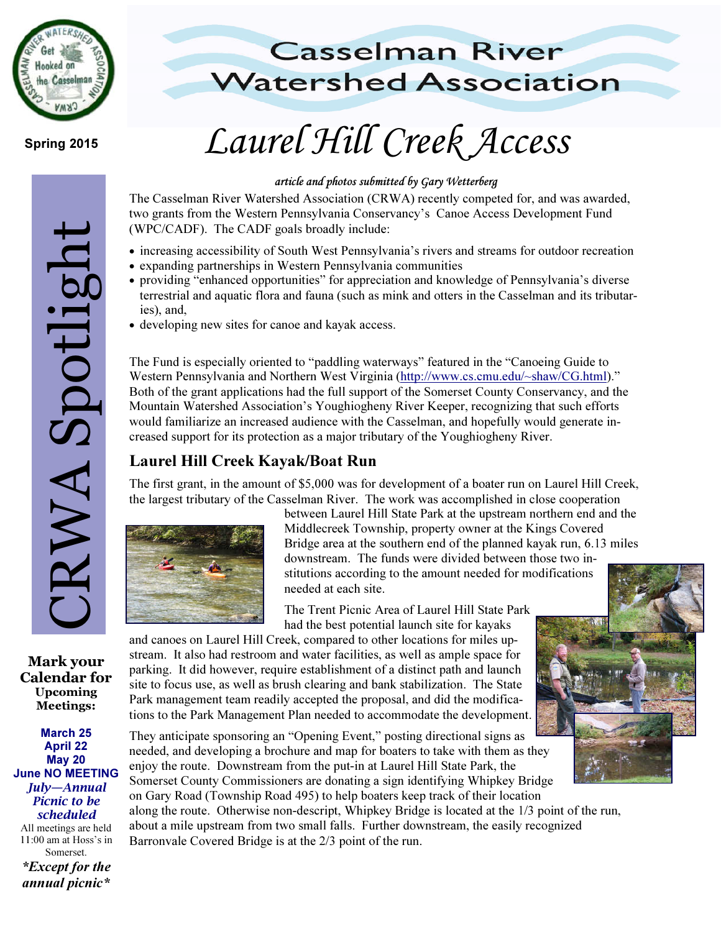

# Mark your<br>Mark your<br>Calendar for<br>Upcoming<br>March 25<br>April 22<br>May 20<br>March 25<br>April 22<br>May 20<br>July—Annual<br>Picnic to be<br>scheduled<br>Somerset.<br>Except for the<br>scheduled<br>El 100 am at Hoss's in<br>Somerset. RWA Spotlight

Mark your Calendar for Upcoming Meetings:

March 25 April 22 May 20 June NO MEETING July—Annual Picnic to be scheduled All meetings are held 11:00 am at Hoss's in Somerset. \*Except for the annual picnic\*

# **Casselman River Watershed Association**

# Spring 2015 **Laurel Hill Creek Access**

### article and photos submitted by Gary Wetterberg

The Casselman River Watershed Association (CRWA) recently competed for, and was awarded, two grants from the Western Pennsylvania Conservancy's Canoe Access Development Fund (WPC/CADF). The CADF goals broadly include:

- increasing accessibility of South West Pennsylvania's rivers and streams for outdoor recreation
- expanding partnerships in Western Pennsylvania communities
- providing "enhanced opportunities" for appreciation and knowledge of Pennsylvania's diverse terrestrial and aquatic flora and fauna (such as mink and otters in the Casselman and its tributaries), and,
- developing new sites for canoe and kayak access.

The Fund is especially oriented to "paddling waterways" featured in the "Canoeing Guide to Western Pennsylvania and Northern West Virginia (http://www.cs.cmu.edu/~shaw/CG.html)." Both of the grant applications had the full support of the Somerset County Conservancy, and the Mountain Watershed Association's Youghiogheny River Keeper, recognizing that such efforts would familiarize an increased audience with the Casselman, and hopefully would generate increased support for its protection as a major tributary of the Youghiogheny River.

## Laurel Hill Creek Kayak/Boat Run

The first grant, in the amount of \$5,000 was for development of a boater run on Laurel Hill Creek, the largest tributary of the Casselman River. The work was accomplished in close cooperation



between Laurel Hill State Park at the upstream northern end and the Middlecreek Township, property owner at the Kings Covered Bridge area at the southern end of the planned kayak run, 6.13 miles downstream. The funds were divided between those two institutions according to the amount needed for modifications needed at each site.

The Trent Picnic Area of Laurel Hill State Park had the best potential launch site for kayaks

and canoes on Laurel Hill Creek, compared to other locations for miles upstream. It also had restroom and water facilities, as well as ample space for parking. It did however, require establishment of a distinct path and launch site to focus use, as well as brush clearing and bank stabilization. The State Park management team readily accepted the proposal, and did the modifications to the Park Management Plan needed to accommodate the development.

They anticipate sponsoring an "Opening Event," posting directional signs as needed, and developing a brochure and map for boaters to take with them as they enjoy the route. Downstream from the put-in at Laurel Hill State Park, the Somerset County Commissioners are donating a sign identifying Whipkey Bridge on Gary Road (Township Road 495) to help boaters keep track of their location along the route. Otherwise non-descript, Whipkey Bridge is located at the 1/3 point of the run, about a mile upstream from two small falls. Further downstream, the easily recognized Barronvale Covered Bridge is at the 2/3 point of the run.

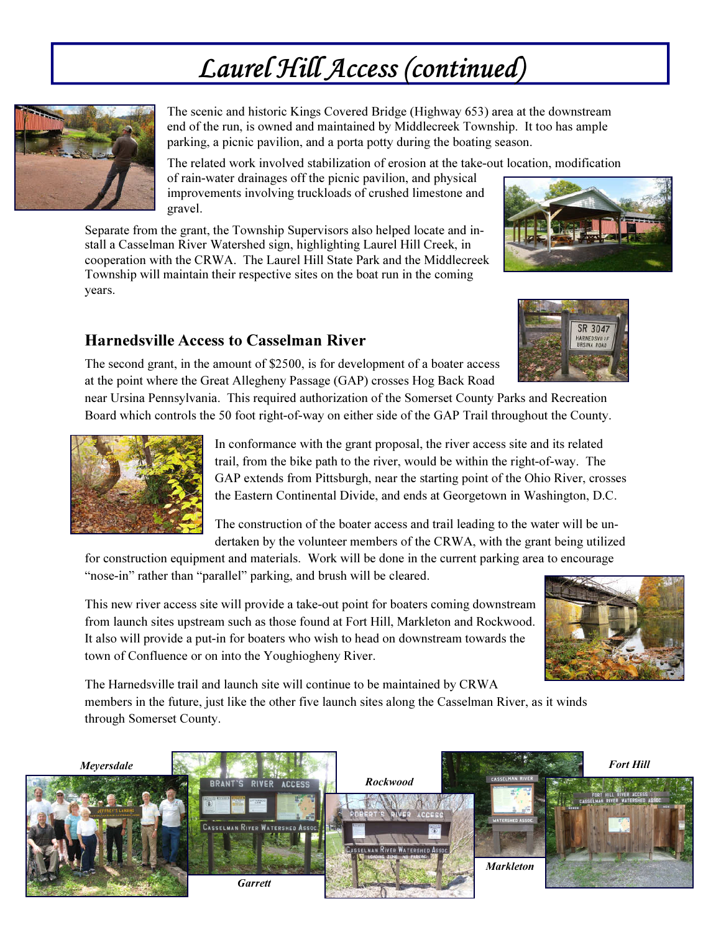# Laurel Hill Access (continued)



The scenic and historic Kings Covered Bridge (Highway 653) area at the downstream end of the run, is owned and maintained by Middlecreek Township. It too has ample parking, a picnic pavilion, and a porta potty during the boating season.

The related work involved stabilization of erosion at the take-out location, modification of rain-water drainages off the picnic pavilion, and physical improvements involving truckloads of crushed limestone and gravel.

Separate from the grant, the Township Supervisors also helped locate and install a Casselman River Watershed sign, highlighting Laurel Hill Creek, in cooperation with the CRWA. The Laurel Hill State Park and the Middlecreek Township will maintain their respective sites on the boat run in the coming years.



### Harnedsville Access to Casselman River



The second grant, in the amount of \$2500, is for development of a boater access at the point where the Great Allegheny Passage (GAP) crosses Hog Back Road

near Ursina Pennsylvania. This required authorization of the Somerset County Parks and Recreation Board which controls the 50 foot right-of-way on either side of the GAP Trail throughout the County.



In conformance with the grant proposal, the river access site and its related trail, from the bike path to the river, would be within the right-of-way. The GAP extends from Pittsburgh, near the starting point of the Ohio River, crosses the Eastern Continental Divide, and ends at Georgetown in Washington, D.C.

The construction of the boater access and trail leading to the water will be undertaken by the volunteer members of the CRWA, with the grant being utilized

for construction equipment and materials. Work will be done in the current parking area to encourage "nose-in" rather than "parallel" parking, and brush will be cleared.

This new river access site will provide a take-out point for boaters coming downstream from launch sites upstream such as those found at Fort Hill, Markleton and Rockwood. It also will provide a put-in for boaters who wish to head on downstream towards the town of Confluence or on into the Youghiogheny River.



The Harnedsville trail and launch site will continue to be maintained by CRWA members in the future, just like the other five launch sites along the Casselman River, as it winds through Somerset County.

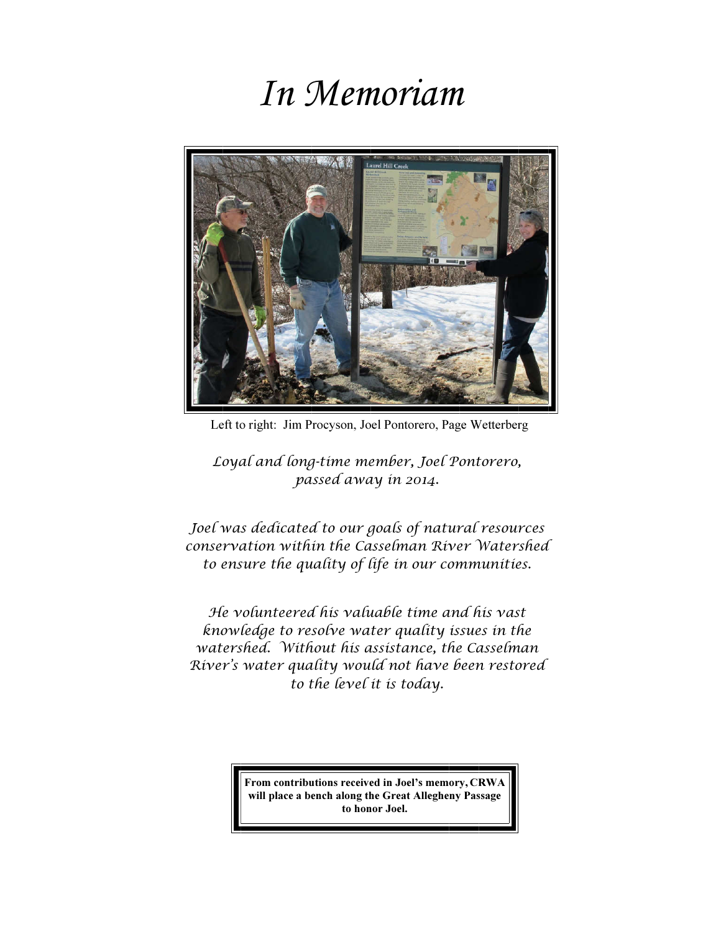# In Memoriam



Left to right: Jim Procyson, Joel Pontorero, Page Wetterberg

Loyal and long-time member, Joel Pontorero, passed away in 2014.

Joel was dedicated to our goals of natural resources conservation within the Casselman River Watershed to ensure the quality of life in our communities.

He volunteered his valuable time and his vast knowledge to resolve water quality issues in the watershed. Without his assistance, the Casselman River's water quality would not have been restored to the level it is today.

> From contributions received in Joel's memory, CRWA will place a bench along the Great Allegheny Passage to honor Joel.